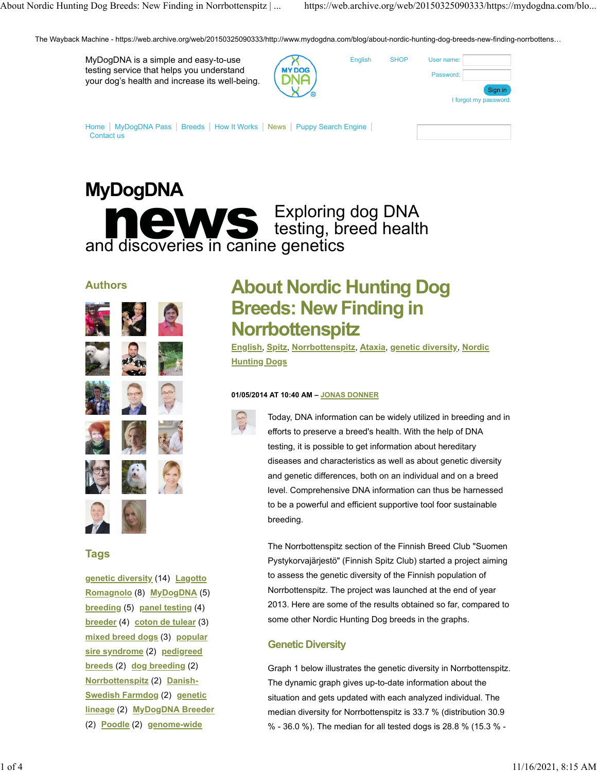**[SHOP](https://web.archive.org/web/20150325090333/https://mydogdna.com/shopping-cart)** 

English

The Wayback Machine - https://web.archive.org/web/20150325090333/http://www.mydogdna.com/blog/about-nordic-hunting-dog-breeds-new-finding-norrbottens…

| MyDogDNA is a simple and easy-to-use           |
|------------------------------------------------|
| testing service that helps you understand      |
| your dog's health and increase its well-being. |

| г |  |
|---|--|
|   |  |

| User name: |                       |
|------------|-----------------------|
| Password:  |                       |
|            | Sign in               |
|            | I forgot my password. |
|            |                       |

[Home](https://web.archive.org/web/20150325090333/https://mydogdna.com/home) | [MyDogDNA Pass](https://web.archive.org/web/20150325090333/https://mydogdna.com/dnapass) | [Breeds](https://web.archive.org/web/20150325090333/https://mydogdna.com/breeds) | [How It Works](https://web.archive.org/web/20150325090333/https://mydogdna.com/how-it-works) | [News](https://web.archive.org/web/20150325090333/https://mydogdna.com/blog) | [Puppy Search Engine](https://web.archive.org/web/20150325090333/https://mydogdna.com/puppy-search-engine) | [Contact us](https://web.archive.org/web/20150325090333/https://mydogdna.com/contact-us)

# **MyDogDNA news Exploring dog DNA**<br>Indian discoveries in canine genetics testing, breed health and discoveries in canine genetics

# **Authors**















# **Tags**

**[genetic diversity](https://web.archive.org/web/20150325090333/https://mydogdna.com/blog/tags/genetic-diversity)** (14) **[Lagotto](https://web.archive.org/web/20150325090333/https://mydogdna.com/blog/tags/lagotto-romagnolo) [Romagnolo](https://web.archive.org/web/20150325090333/https://mydogdna.com/blog/tags/lagotto-romagnolo)** (8) **[MyDogDNA](https://web.archive.org/web/20150325090333/https://mydogdna.com/blog/tags/mydogdna)** (5) **[breeding](https://web.archive.org/web/20150325090333/https://mydogdna.com/blog/tags/breeding)** (5) **[panel testing](https://web.archive.org/web/20150325090333/https://mydogdna.com/blog/tags/panel-testing)** (4) **[breeder](https://web.archive.org/web/20150325090333/https://mydogdna.com/blog/tags/breeder)** (4) **[coton de tulear](https://web.archive.org/web/20150325090333/https://mydogdna.com/blog/tags/coton-de-tulear)** (3) **[mixed breed dogs](https://web.archive.org/web/20150325090333/https://mydogdna.com/blog/tags/mixed-breed-dogs)** (3) **[popular](https://web.archive.org/web/20150325090333/https://mydogdna.com/blog/tags/popular-sire-syndrome) [sire syndrome](https://web.archive.org/web/20150325090333/https://mydogdna.com/blog/tags/popular-sire-syndrome)** (2) **[pedigreed](https://web.archive.org/web/20150325090333/https://mydogdna.com/blog/tags/pedigreed-breeds) [breeds](https://web.archive.org/web/20150325090333/https://mydogdna.com/blog/tags/pedigreed-breeds)** (2) **[dog breeding](https://web.archive.org/web/20150325090333/https://mydogdna.com/blog/tags/dog-breeding)** (2) **[Norrbottenspitz](https://web.archive.org/web/20150325090333/https://mydogdna.com/blog/tags/norrbottenspitz)** (2) **[Danish-](https://web.archive.org/web/20150325090333/https://mydogdna.com/blog/tags/danish-swedish-farmdog)[Swedish Farmdog](https://web.archive.org/web/20150325090333/https://mydogdna.com/blog/tags/danish-swedish-farmdog)** (2) **[genetic](https://web.archive.org/web/20150325090333/https://mydogdna.com/blog/tags/genetic-lineage) [lineage](https://web.archive.org/web/20150325090333/https://mydogdna.com/blog/tags/genetic-lineage)** (2) **[MyDogDNA Breeder](https://web.archive.org/web/20150325090333/https://mydogdna.com/blog/tags/mydogdna-breeder)** (2) **[Poodle](https://web.archive.org/web/20150325090333/https://mydogdna.com/blog/tags/poodle)** (2) **[genome-wide](https://web.archive.org/web/20150325090333/https://mydogdna.com/blog/tags/genome-wide-analysis)**

# **About Nordic Hunting Dog Breeds: New Finding in Norrbottenspitz**

**[English](https://web.archive.org/web/20150325090333/https://mydogdna.com/blog/languages/english)**, **[Spitz](https://web.archive.org/web/20150325090333/https://mydogdna.com/blog/tags/spitz)**, **[Norrbottenspitz](https://web.archive.org/web/20150325090333/https://mydogdna.com/blog/tags/norrbottenspitz)**, **[Ataxia](https://web.archive.org/web/20150325090333/https://mydogdna.com/blog/tags/ataxia)**, **[genetic diversity](https://web.archive.org/web/20150325090333/https://mydogdna.com/blog/tags/genetic-diversity)**, **[Nordic](https://web.archive.org/web/20150325090333/https://mydogdna.com/blog/tags/nordic-hunting-dogs) [Hunting Dogs](https://web.archive.org/web/20150325090333/https://mydogdna.com/blog/tags/nordic-hunting-dogs)**

#### **01/05/2014 AT 10:40 AM – [JONAS DONNER](https://web.archive.org/web/20150325090333/https://mydogdna.com/blog/author/jonas-donner)**



Today, DNA information can be widely utilized in breeding and in efforts to preserve a breed's health. With the help of DNA testing, it is possible to get information about hereditary diseases and characteristics as well as about genetic diversity and genetic differences, both on an individual and on a breed level. Comprehensive DNA information can thus be harnessed to be a powerful and efficient supportive tool foor sustainable breeding.

The Norrbottenspitz section of the Finnish Breed Club "Suomen Pystykorvajärjestö" (Finnish Spitz Club) started a project aiming to assess the genetic diversity of the Finnish population of Norrbottenspitz. The project was launched at the end of year 2013. Here are some of the results obtained so far, compared to some other Nordic Hunting Dog breeds in the graphs.

# **Genetic Diversity**

Graph 1 below illustrates the genetic diversity in Norrbottenspitz. The dynamic graph gives up-to-date information about the situation and gets updated with each analyzed individual. The median diversity for Norrbottenspitz is 33.7 % (distribution 30.9 % - 36.0 %). The median for all tested dogs is 28.8 % (15.3 % -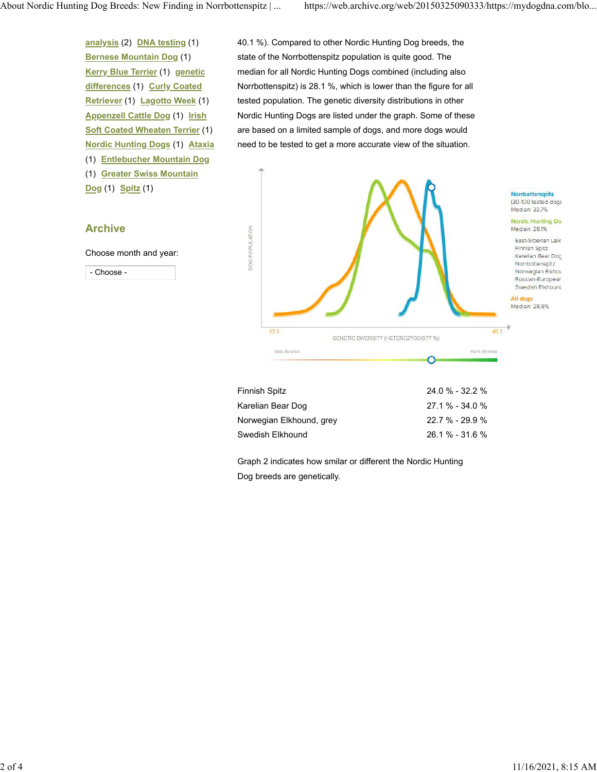**[analysis](https://web.archive.org/web/20150325090333/https://mydogdna.com/blog/tags/genome-wide-analysis)** (2) **[DNA testing](https://web.archive.org/web/20150325090333/https://mydogdna.com/blog/tags/dna-testing)** (1) **[Bernese Mountain Dog](https://web.archive.org/web/20150325090333/https://mydogdna.com/blog/tags/bernese-mountain-dog)** (1) **[Kerry Blue Terrier](https://web.archive.org/web/20150325090333/https://mydogdna.com/blog/tags/kerry-blue-terrier)** (1) **[genetic](https://web.archive.org/web/20150325090333/https://mydogdna.com/blog/tags/genetic-differences) [differences](https://web.archive.org/web/20150325090333/https://mydogdna.com/blog/tags/genetic-differences)** (1) **[Curly Coated](https://web.archive.org/web/20150325090333/https://mydogdna.com/blog/tags/curly-coated-retriever) [Retriever](https://web.archive.org/web/20150325090333/https://mydogdna.com/blog/tags/curly-coated-retriever)** (1) **[Lagotto Week](https://web.archive.org/web/20150325090333/https://mydogdna.com/blog/tags/lagotto-week)** (1) **[Appenzell Cattle Dog](https://web.archive.org/web/20150325090333/https://mydogdna.com/blog/tags/appenzell-cattle-dog)** (1) **[Irish](https://web.archive.org/web/20150325090333/https://mydogdna.com/blog/tags/irish-soft-coated-wheaten-terrier) [Soft Coated Wheaten Terrier](https://web.archive.org/web/20150325090333/https://mydogdna.com/blog/tags/irish-soft-coated-wheaten-terrier)** (1) **[Nordic Hunting Dogs](https://web.archive.org/web/20150325090333/https://mydogdna.com/blog/tags/nordic-hunting-dogs)** (1) **[Ataxia](https://web.archive.org/web/20150325090333/https://mydogdna.com/blog/tags/ataxia)** (1) **[Entlebucher Mountain Dog](https://web.archive.org/web/20150325090333/https://mydogdna.com/blog/tags/entlebucher-mountain-dog)** (1) **[Greater Swiss Mountain](https://web.archive.org/web/20150325090333/https://mydogdna.com/blog/tags/greater-swiss-mountain-dog)**

**[Dog](https://web.archive.org/web/20150325090333/https://mydogdna.com/blog/tags/greater-swiss-mountain-dog)** (1) **[Spitz](https://web.archive.org/web/20150325090333/https://mydogdna.com/blog/tags/spitz)** (1)

### **Archive**

Choose month and year:

- Choose -

40.1 %). Compared to other Nordic Hunting Dog breeds, the state of the Norrbottenspitz population is quite good. The median for all Nordic Hunting Dogs combined (including also Norrbottenspitz) is 28.1 %, which is lower than the figure for all tested population. The genetic diversity distributions in other Nordic Hunting Dogs are listed under the graph. Some of these are based on a limited sample of dogs, and more dogs would need to be tested to get a more accurate view of the situation.



| Finnish Spitz            | $24.0 \% - 32.2 \%$ |
|--------------------------|---------------------|
| Karelian Bear Dog        | $27.1 \% - 34.0 \%$ |
| Norwegian Elkhound, grey | $22.7 \% - 29.9 \%$ |
| Swedish Elkhound         | $26.1\% - 31.6\%$   |

Graph 2 indicates how smilar or different the Nordic Hunting Dog breeds are genetically.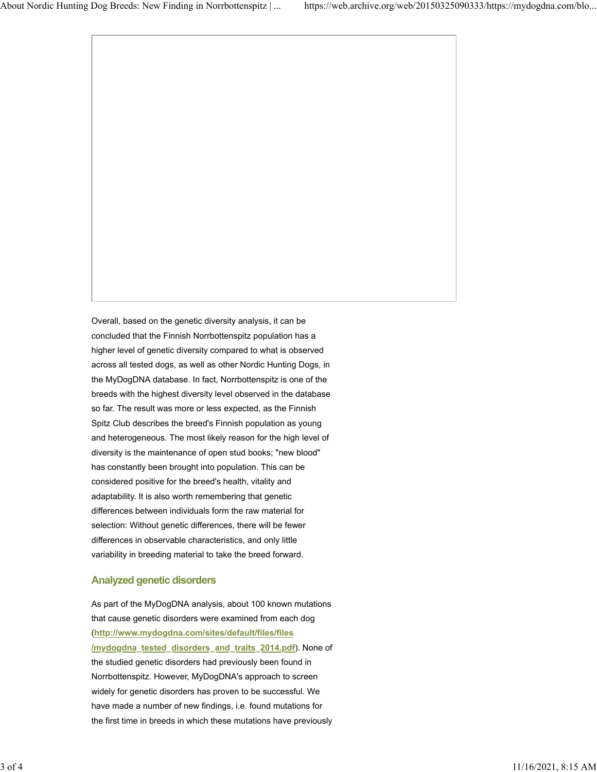Overall, based on the genetic diversity analysis, it can be concluded that the Finnish Norrbottenspitz population has a higher level of genetic diversity compared to what is observed across all tested dogs, as well as other Nordic Hunting Dogs, in the MyDogDNA database. In fact, Norrbottenspitz is one of the breeds with the highest diversity level observed in the database so far. The result was more or less expected, as the Finnish Spitz Club describes the breed's Finnish population as young and heterogeneous. The most likely reason for the high level of diversity is the maintenance of open stud books; "new blood" has constantly been brought into population. This can be considered positive for the breed's health, vitality and adaptability. It is also worth remembering that genetic differences between individuals form the raw material for selection: Without genetic differences, there will be fewer differences in observable characteristics, and only little variability in breeding material to take the breed forward.

# **Analyzed genetic disorders**

As part of the MyDogDNA analysis, about 100 known mutations that cause genetic disorders were examined from each dog (**[http://www.mydogdna.com/sites/default/files/files](https://web.archive.org/web/20150325090333/http://www.mydogdna.com/sites/default/files/files/mydogdna_tested_disorders_and_traits_2014.pdf) [/mydogdna\\_tested\\_disorders\\_and\\_traits\\_2014.pdf](https://web.archive.org/web/20150325090333/http://www.mydogdna.com/sites/default/files/files/mydogdna_tested_disorders_and_traits_2014.pdf)**). None of the studied genetic disorders had previously been found in Norrbottenspitz. However, MyDogDNA's approach to screen widely for genetic disorders has proven to be successful. We have made a number of new findings, i.e. found mutations for the first time in breeds in which these mutations have previously